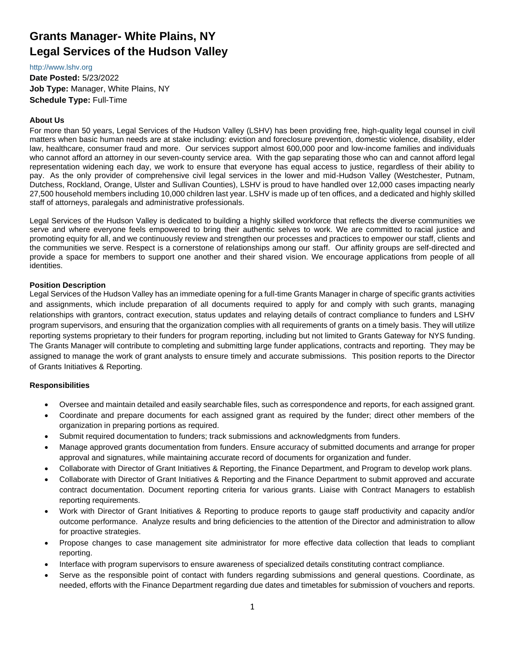# **Grants Manager- White Plains, NY Legal Services of the Hudson Valley**

#### [http://www.lshv.org](http://www.lshv.org/)

**Date Posted:** 5/23/2022 **Job Type:** Manager, White Plains, NY **Schedule Type:** Full-Time

## **About Us**

For more than 50 years, Legal Services of the Hudson Valley (LSHV) has been providing free, high-quality legal counsel in civil matters when basic human needs are at stake including: eviction and foreclosure prevention, domestic violence, disability, elder law, healthcare, consumer fraud and more. Our services support almost 600,000 poor and low-income families and individuals who cannot afford an attorney in our seven-county service area. With the gap separating those who can and cannot afford legal representation widening each day, we work to ensure that everyone has equal access to justice, regardless of their ability to pay. As the only provider of comprehensive civil legal services in the lower and mid-Hudson Valley (Westchester, Putnam, Dutchess, Rockland, Orange, Ulster and Sullivan Counties), LSHV is proud to have handled over 12,000 cases impacting nearly 27,500 household members including 10,000 children last year. LSHV is made up of ten offices, and a dedicated and highly skilled staff of attorneys, paralegals and administrative professionals.

Legal Services of the Hudson Valley is dedicated to building a highly skilled workforce that reflects the diverse communities we serve and where everyone feels empowered to bring their authentic selves to work. We are committed to racial justice and promoting equity for all, and we continuously review and strengthen our processes and practices to empower our staff, clients and the communities we serve. Respect is a cornerstone of relationships among our staff. Our affinity groups are self-directed and provide a space for members to support one another and their shared vision. We encourage applications from people of all identities.

#### **Position Description**

Legal Services of the Hudson Valley has an immediate opening for a full-time Grants Manager in charge of specific grants activities and assignments, which include preparation of all documents required to apply for and comply with such grants, managing relationships with grantors, contract execution, status updates and relaying details of contract compliance to funders and LSHV program supervisors, and ensuring that the organization complies with all requirements of grants on a timely basis. They will utilize reporting systems proprietary to their funders for program reporting, including but not limited to Grants Gateway for NYS funding. The Grants Manager will contribute to completing and submitting large funder applications, contracts and reporting. They may be assigned to manage the work of grant analysts to ensure timely and accurate submissions. This position reports to the Director of Grants Initiatives & Reporting.

## **Responsibilities**

- Oversee and maintain detailed and easily searchable files, such as correspondence and reports, for each assigned grant.
- Coordinate and prepare documents for each assigned grant as required by the funder; direct other members of the organization in preparing portions as required.
- Submit required documentation to funders; track submissions and acknowledgments from funders.
- Manage approved grants documentation from funders. Ensure accuracy of submitted documents and arrange for proper approval and signatures, while maintaining accurate record of documents for organization and funder.
- Collaborate with Director of Grant Initiatives & Reporting, the Finance Department, and Program to develop work plans.
- Collaborate with Director of Grant Initiatives & Reporting and the Finance Department to submit approved and accurate contract documentation. Document reporting criteria for various grants. Liaise with Contract Managers to establish reporting requirements.
- Work with Director of Grant Initiatives & Reporting to produce reports to gauge staff productivity and capacity and/or outcome performance. Analyze results and bring deficiencies to the attention of the Director and administration to allow for proactive strategies.
- Propose changes to case management site administrator for more effective data collection that leads to compliant reporting.
- Interface with program supervisors to ensure awareness of specialized details constituting contract compliance.
- Serve as the responsible point of contact with funders regarding submissions and general questions. Coordinate, as needed, efforts with the Finance Department regarding due dates and timetables for submission of vouchers and reports.